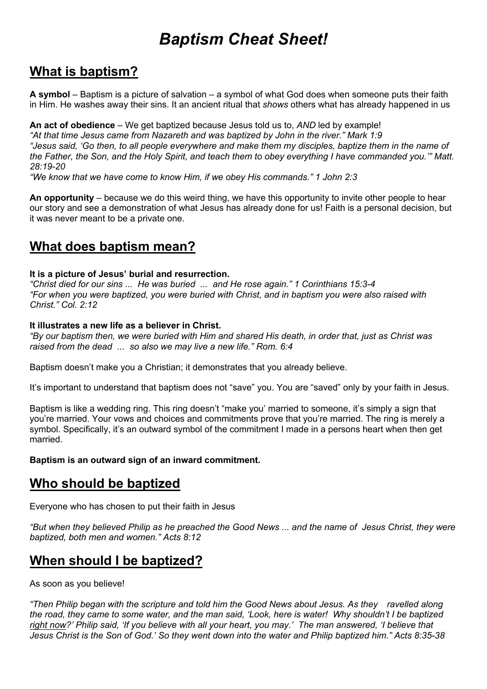# *Baptism Cheat Sheet!*

### **What is baptism?**

**A symbol** – Baptism is a picture of salvation – a symbol of what God does when someone puts their faith in Him. He washes away their sins. It an ancient ritual that *shows* others what has already happened in us

**An act of obedience** – We get baptized because Jesus told us to, *AND* led by example! *"At that time Jesus came from Nazareth and was baptized by John in the river." Mark 1:9 "Jesus said, 'Go then, to all people everywhere and make them my disciples, baptize them in the name of the Father, the Son, and the Holy Spirit, and teach them to obey everything I have commanded you.'" Matt. 28:19-20*

*"We know that we have come to know Him, if we obey His commands." 1 John 2:3*

**An opportunity** – because we do this weird thing, we have this opportunity to invite other people to hear our story and see a demonstration of what Jesus has already done for us! Faith is a personal decision, but it was never meant to be a private one.

### **What does baptism mean?**

#### **It is a picture of Jesus' burial and resurrection.**

*"Christ died for our sins ... He was buried ... and He rose again." 1 Corinthians 15:3-4 "For when you were baptized, you were buried with Christ, and in baptism you were also raised with Christ." Col. 2:12*

#### **It illustrates a new life as a believer in Christ.**

*"By our baptism then, we were buried with Him and shared His death, in order that, just as Christ was raised from the dead ... so also we may live a new life." Rom. 6:4*

Baptism doesn't make you a Christian; it demonstrates that you already believe.

It's important to understand that baptism does not "save" you. You are "saved" only by your faith in Jesus.

Baptism is like a wedding ring. This ring doesn't "make you' married to someone, it's simply a sign that you're married. Your vows and choices and commitments prove that you're married. The ring is merely a symbol. Specifically, it's an outward symbol of the commitment I made in a persons heart when then get married.

**Baptism is an outward sign of an inward commitment.** 

### **Who should be baptized**

Everyone who has chosen to put their faith in Jesus

*"But when they believed Philip as he preached the Good News ... and the name of Jesus Christ, they were baptized, both men and women." Acts 8:12*

## **When should I be baptized?**

As soon as you believe!

*"Then Philip began with the scripture and told him the Good News about Jesus. As they ravelled along the road, they came to some water, and the man said, 'Look, here is water! Why shouldn't I be baptized right now?' Philip said, 'If you believe with all your heart, you may.' The man answered, 'I believe that Jesus Christ is the Son of God.' So they went down into the water and Philip baptized him." Acts 8:35-38*